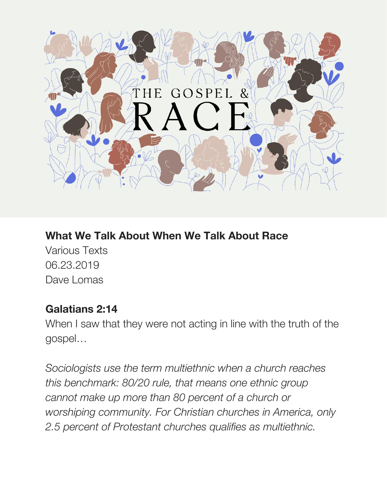

## **What We Talk About When We Talk About Race**

Various Texts 06.23.2019 Dave Lomas

#### **Galatians 2:14**

When I saw that they were not acting in line with the truth of the gospel…

*Sociologists use the term multiethnic when a church reaches this benchmark: 80/20 rule, that means one ethnic group cannot make up more than 80 percent of a church or worshiping community. For Christian churches in America, only 2.5 percent of Protestant churches qualifies as multiethnic.*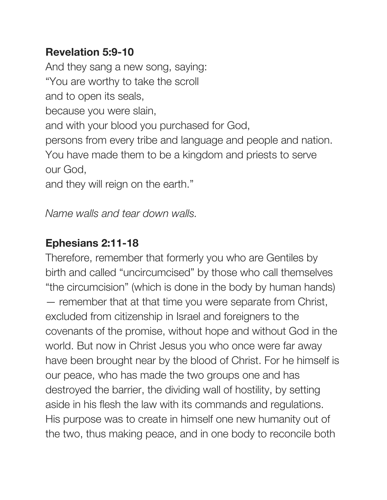### **Revelation 5:9-10**

And they sang a new song, saying: "You are worthy to take the scroll and to open its seals, because you were slain, and with your blood you purchased for God, persons from every tribe and language and people and nation. You have made them to be a kingdom and priests to serve our God,

and they will reign on the earth."

### *Name walls and tear down walls.*

## **Ephesians 2:11-18**

Therefore, remember that formerly you who are Gentiles by birth and called "uncircumcised" by those who call themselves "the circumcision" (which is done in the body by human hands) — remember that at that time you were separate from Christ, excluded from citizenship in Israel and foreigners to the covenants of the promise, without hope and without God in the world. But now in Christ Jesus you who once were far away have been brought near by the blood of Christ. For he himself is our peace, who has made the two groups one and has destroyed the barrier, the dividing wall of hostility, by setting aside in his flesh the law with its commands and regulations. His purpose was to create in himself one new humanity out of the two, thus making peace, and in one body to reconcile both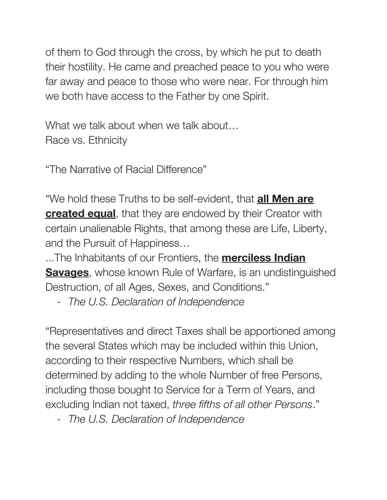of them to God through the cross, by which he put to death their hostility. He came and preached peace to you who were far away and peace to those who were near. For through him we both have access to the Father by one Spirit.

What we talk about when we talk about... Race vs. Ethnicity

"The Narrative of Racial Difference"

"We hold these Truths to be self-evident, that **all Men are created equal**, that they are endowed by their Creator with certain unalienable Rights, that among these are Life, Liberty, and the Pursuit of Happiness…

...The Inhabitants of our Frontiers, the **merciless Indian Savages**, whose known Rule of Warfare, is an undistinguished Destruction, of all Ages, Sexes, and Conditions."

- *The U.S. Declaration of Independence*

"Representatives and direct Taxes shall be apportioned among the several States which may be included within this Union, according to their respective Numbers, which shall be determined by adding to the whole Number of free Persons, including those bought to Service for a Term of Years, and excluding Indian not taxed, *three fifths of all other Persons*."

- *The U.S. Declaration of Independence*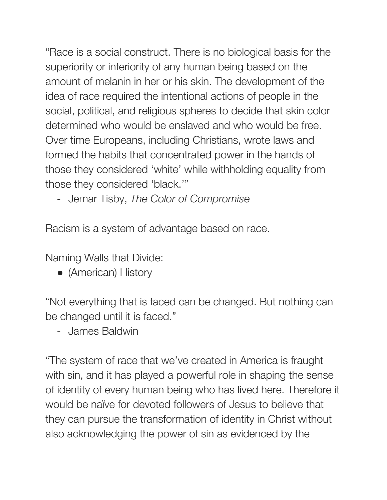"Race is a social construct. There is no biological basis for the superiority or inferiority of any human being based on the amount of melanin in her or his skin. The development of the idea of race required the intentional actions of people in the social, political, and religious spheres to decide that skin color determined who would be enslaved and who would be free. Over time Europeans, including Christians, wrote laws and formed the habits that concentrated power in the hands of those they considered 'white' while withholding equality from those they considered 'black.'"

- Jemar Tisby, *The Color of Compromise*

Racism is a system of advantage based on race.

Naming Walls that Divide:

● (American) History

"Not everything that is faced can be changed. But nothing can be changed until it is faced."

- James Baldwin

"The system of race that we've created in America is fraught with sin, and it has played a powerful role in shaping the sense of identity of every human being who has lived here. Therefore it would be naïve for devoted followers of Jesus to believe that they can pursue the transformation of identity in Christ without also acknowledging the power of sin as evidenced by the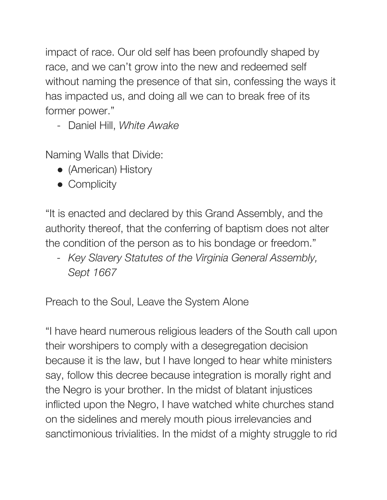impact of race. Our old self has been profoundly shaped by race, and we can't grow into the new and redeemed self without naming the presence of that sin, confessing the ways it has impacted us, and doing all we can to break free of its former power."

- Daniel Hill, *White Awake*

Naming Walls that Divide:

- (American) History
- Complicity

"It is enacted and declared by this Grand Assembly, and the authority thereof, that the conferring of baptism does not alter the condition of the person as to his bondage or freedom."

*- Key Slavery Statutes of the Virginia General Assembly, Sept 1667*

Preach to the Soul, Leave the System Alone

"I have heard numerous religious leaders of the South call upon their worshipers to comply with a desegregation decision because it is the law, but I have longed to hear white ministers say, follow this decree because integration is morally right and the Negro is your brother. In the midst of blatant injustices inflicted upon the Negro, I have watched white churches stand on the sidelines and merely mouth pious irrelevancies and sanctimonious trivialities. In the midst of a mighty struggle to rid